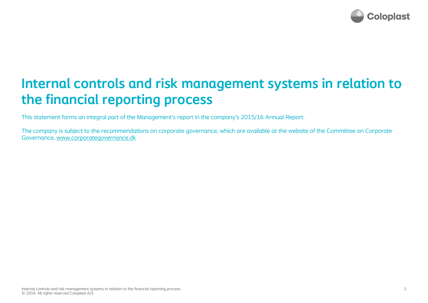

# **Internal controls and risk management systems in relation to the financial reporting process**

This statement forms an integral part of the Management's report in the company's 2015/16 Annual Report.

The company is subject to the recommendations on corporate governance, which are available at the website of the Committee on Corporate Governance, www.corporategovernance.dk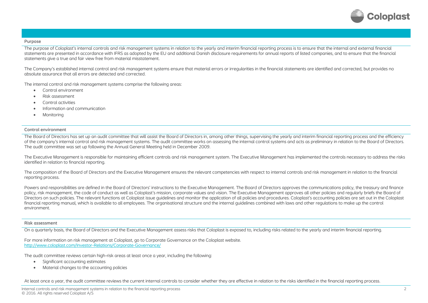

## **Purpose**

The purpose of Coloplast's internal controls and risk management systems in relation to the yearly and interim financial reporting process is to ensure that the internal and external financial statements are presented in accordance with IFRS as adopted by the EU and additional Danish disclosure requirements for annual reports of listed companies, and to ensure that the financial statements give a true and fair view free from material misstatement.

The Company's established internal control and risk management systems ensure that material errors or irregularities in the financial statements are identified and corrected, but provides no absolute assurance that all errors are detected and corrected.

The internal control and risk management systems comprise the following areas:

- ۰ Control environment
- $\bullet$ Risk assessment
- ۰ Control activities
- $\bullet$ Information and communication
- ۰ **Monitoring**

# **Control environment**

The Board of Directors has set up an audit committee that will assist the Board of Directors in, among other things, supervising the yearly and interim financial reporting process and the efficiency of the company's internal control and risk management systems. The audit committee works on assessing the internal control systems and acts as preliminary in relation to the Board of Directors. The audit committee was set up following the Annual General Meeting held in December 2009.

The Executive Management is responsible for maintaining efficient controls and risk management system. The Executive Management has implemented the controls necessary to address the risks identified in relation to financial reporting.

The composition of the Board of Directors and the Executive Management ensures the relevant competencies with respect to internal controls and risk management in relation to the financial reporting process.

Powers and responsibilities are defined in the Board of Directors' instructions to the Executive Management. The Board of Directors approves the communications policy, the treasury and finance policy, risk management, the code of conduct as well as Coloplast's mission, corporate values and vision. The Executive Management approves all other policies and regularly briefs the Board of Directors on such policies. The relevant functions at Coloplast issue guidelines and monitor the application of all policies and procedures. Coloplast's accounting policies are set out in the Coloplast financial reporting manual, which is available to all employees. The organisational structure and the internal guidelines combined with laws and other regulations to make up the control environment.

#### **Risk assessment**

On a quarterly basis, the Board of Directors and the Executive Management assess risks that Coloplast is exposed to, including risks related to the yearly and interim financial reporting.

For more information on risk management at Coloplast, go to Corporate Governance on the Coloplast website. http://www.coloplast.com/Investor-Relations/Corporate-Governance/

The audit committee reviews certain high-risk areas at least once a year, including the following:

- $\bullet$ Significant accounting estimates
- ٠ Material changes to the accounting policies

At least once a year, the audit committee reviews the current internal controls to consider whether they are effective in relation to the risks identified in the financial reporting process.